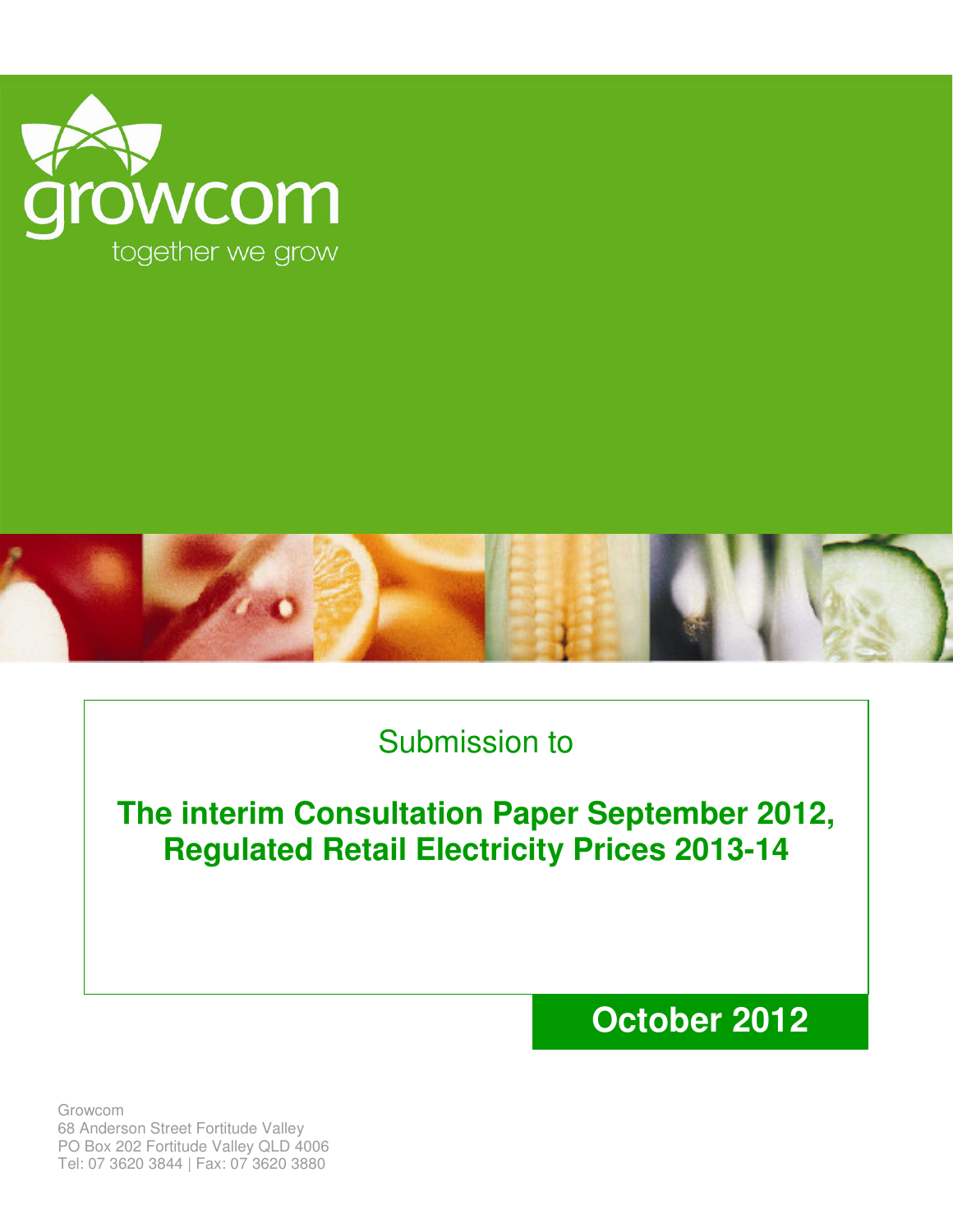



## Submission to

**The interim Consultation Paper September 2012, Regulated Retail Electricity Prices 2013-14**

## **October 2012**

Growcom 68 Anderson Street Fortitude Valley PO Box 202 Fortitude Valley QLD 4006 Tel: 07 3620 3844 | Fax: 07 3620 3880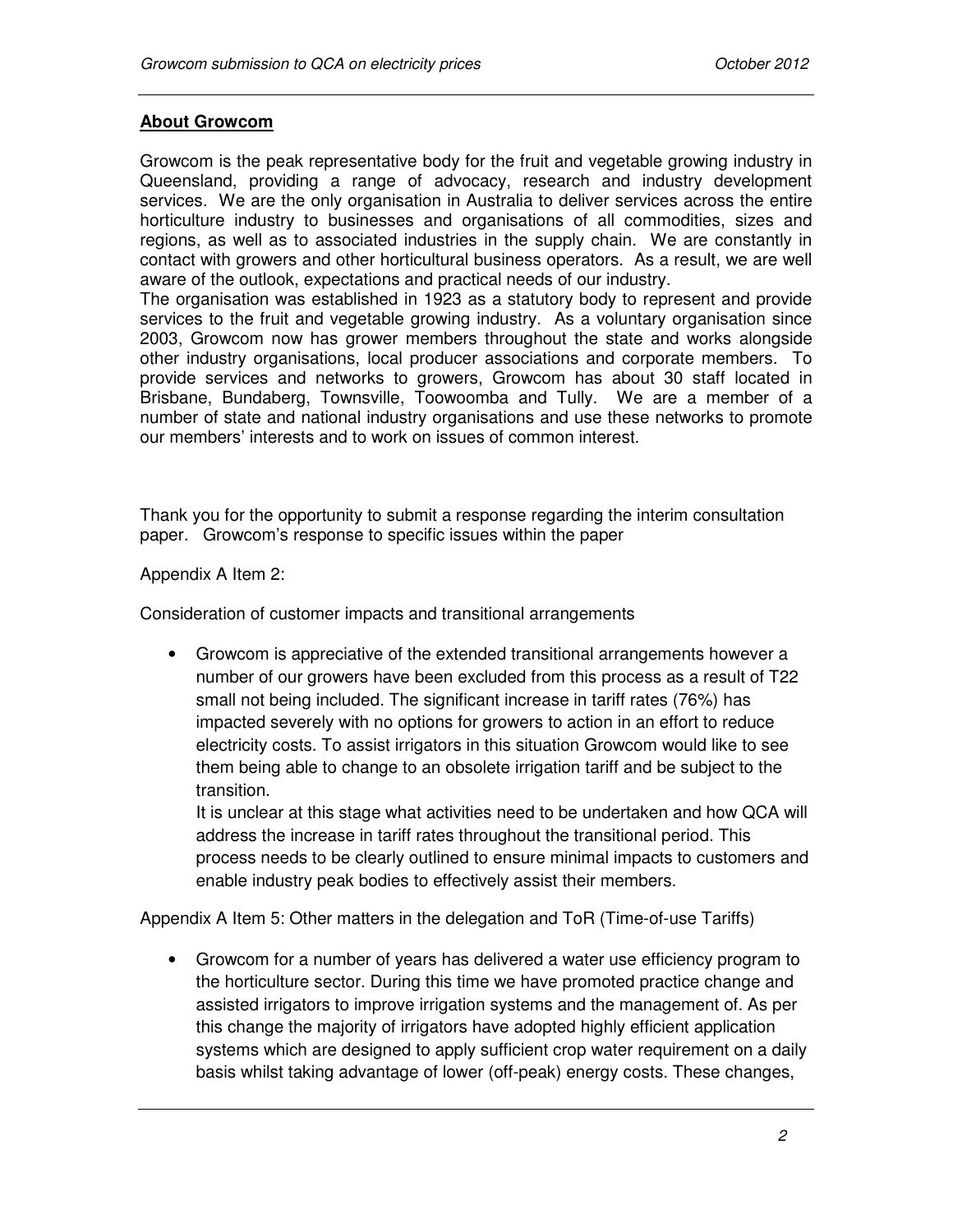## **About Growcom**

Growcom is the peak representative body for the fruit and vegetable growing industry in Queensland, providing a range of advocacy, research and industry development services. We are the only organisation in Australia to deliver services across the entire horticulture industry to businesses and organisations of all commodities, sizes and regions, as well as to associated industries in the supply chain. We are constantly in contact with growers and other horticultural business operators. As a result, we are well aware of the outlook, expectations and practical needs of our industry.

The organisation was established in 1923 as a statutory body to represent and provide services to the fruit and vegetable growing industry. As a voluntary organisation since 2003, Growcom now has grower members throughout the state and works alongside other industry organisations, local producer associations and corporate members. To provide services and networks to growers, Growcom has about 30 staff located in Brisbane, Bundaberg, Townsville, Toowoomba and Tully. We are a member of a number of state and national industry organisations and use these networks to promote our members' interests and to work on issues of common interest.

Thank you for the opportunity to submit a response regarding the interim consultation paper. Growcom's response to specific issues within the paper

Appendix A Item 2:

Consideration of customer impacts and transitional arrangements

• Growcom is appreciative of the extended transitional arrangements however a number of our growers have been excluded from this process as a result of T22 small not being included. The significant increase in tariff rates (76%) has impacted severely with no options for growers to action in an effort to reduce electricity costs. To assist irrigators in this situation Growcom would like to see them being able to change to an obsolete irrigation tariff and be subject to the transition.

It is unclear at this stage what activities need to be undertaken and how QCA will address the increase in tariff rates throughout the transitional period. This process needs to be clearly outlined to ensure minimal impacts to customers and enable industry peak bodies to effectively assist their members.

Appendix A Item 5: Other matters in the delegation and ToR (Time-of-use Tariffs)

• Growcom for a number of years has delivered a water use efficiency program to the horticulture sector. During this time we have promoted practice change and assisted irrigators to improve irrigation systems and the management of. As per this change the majority of irrigators have adopted highly efficient application systems which are designed to apply sufficient crop water requirement on a daily basis whilst taking advantage of lower (off-peak) energy costs. These changes,